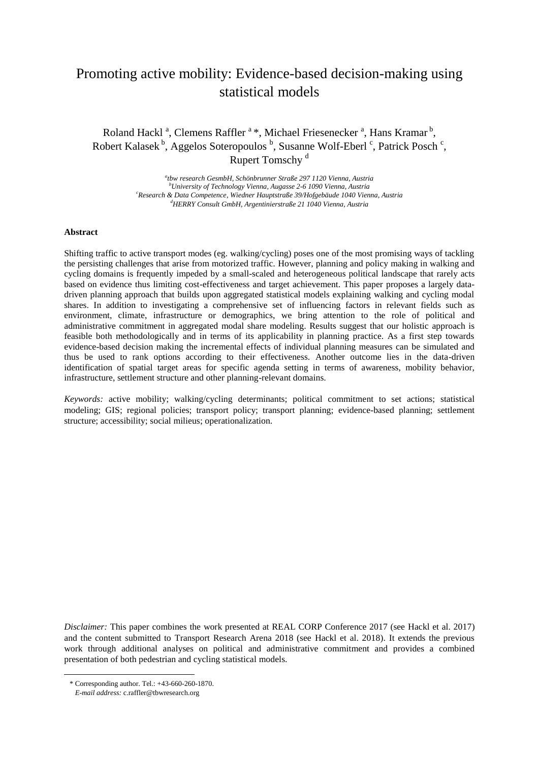# Promoting active mobility: Evidence-based decision-making using statistical models

Roland Hackl<sup>a</sup>, Clemens Raffler<sup>a\*</sup>, Michael Friesenecker<sup>a</sup>, Hans Kramar<sup>b</sup>, Robert Kalasek<sup>b</sup>, Aggelos Soteropoulos <sup>b</sup>, Susanne Wolf-Eberl <sup>c</sup>, Patrick Posch <sup>c</sup>, Rupert Tomschy<sup>d</sup>

> *a tbw research GesmbH, Schönbrunner Straße 297 1120 Vienna, Austria <sup>b</sup>University of Technology Vienna, Augasse 2-6 1090 Vienna, Austria <sup>c</sup>Research & Data Competence, Wiedner Hauptstraße 39/Hofgebäude 1040 Vienna, Austria <sup>d</sup>HERRY Consult GmbH, Argentinierstraße 21 1040 Vienna, Austria*

# **Abstract**

Shifting traffic to active transport modes (eg. walking/cycling) poses one of the most promising ways of tackling the persisting challenges that arise from motorized traffic. However, planning and policy making in walking and cycling domains is frequently impeded by a small-scaled and heterogeneous political landscape that rarely acts based on evidence thus limiting cost-effectiveness and target achievement. This paper proposes a largely datadriven planning approach that builds upon aggregated statistical models explaining walking and cycling modal shares. In addition to investigating a comprehensive set of influencing factors in relevant fields such as environment, climate, infrastructure or demographics, we bring attention to the role of political and administrative commitment in aggregated modal share modeling. Results suggest that our holistic approach is feasible both methodologically and in terms of its applicability in planning practice. As a first step towards evidence-based decision making the incremental effects of individual planning measures can be simulated and thus be used to rank options according to their effectiveness. Another outcome lies in the data-driven identification of spatial target areas for specific agenda setting in terms of awareness, mobility behavior, infrastructure, settlement structure and other planning-relevant domains.

*Keywords:* active mobility; walking/cycling determinants; political commitment to set actions; statistical modeling; GIS; regional policies; transport policy; transport planning; evidence-based planning; settlement structure; accessibility; social milieus; operationalization.

*Disclaimer:* This paper combines the work presented at REAL CORP Conference 2017 (see Hackl et al. 2017) and the content submitted to Transport Research Arena 2018 (see Hackl et al. 2018). It extends the previous work through additional analyses on political and administrative commitment and provides a combined presentation of both pedestrian and cycling statistical models.

 $\overline{\phantom{a}}$ 

<sup>\*</sup> Corresponding author. Tel.: +43-660-260-1870.

*E-mail address:* c.raffler@tbwresearch.org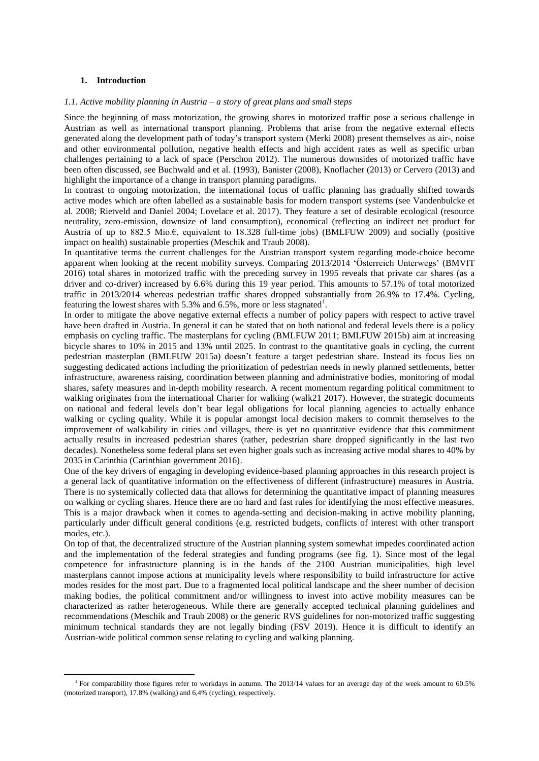## **1. Introduction**

 $\overline{\phantom{a}}$ 

#### *1.1. Active mobility planning in Austria – a story of great plans and small steps*

Since the beginning of mass motorization, the growing shares in motorized traffic pose a serious challenge in Austrian as well as international transport planning. Problems that arise from the negative external effects generated along the development path of today's transport system (Merki 2008) present themselves as air-, noise and other environmental pollution, negative health effects and high accident rates as well as specific urban challenges pertaining to a lack of space (Perschon 2012). The numerous downsides of motorized traffic have been often discussed, see Buchwald and et al. (1993), Banister (2008), Knoflacher (2013) or Cervero (2013) and highlight the importance of a change in transport planning paradigms.

In contrast to ongoing motorization, the international focus of traffic planning has gradually shifted towards active modes which are often labelled as a sustainable basis for modern transport systems (see Vandenbulcke et al. 2008; Rietveld and Daniel 2004; Lovelace et al. 2017). They feature a set of desirable ecological (resource neutrality, zero-emission, downsize of land consumption), economical (reflecting an indirect net product for Austria of up to 882.5 Mio.€, equivalent to 18.328 full-time jobs) (BMLFUW 2009) and socially (positive impact on health) sustainable properties (Meschik and Traub 2008).

In quantitative terms the current challenges for the Austrian transport system regarding mode-choice become apparent when looking at the recent mobility surveys. Comparing 2013/2014 'Österreich Unterwegs' (BMVIT 2016) total shares in motorized traffic with the preceding survey in 1995 reveals that private car shares (as a driver and co-driver) increased by 6.6% during this 19 year period. This amounts to 57.1% of total motorized traffic in 2013/2014 whereas pedestrian traffic shares dropped substantially from 26.9% to 17.4%. Cycling, featuring the lowest shares with 5.3% and 6.5%, more or less stagnated<sup>1</sup>.

In order to mitigate the above negative external effects a number of policy papers with respect to active travel have been drafted in Austria. In general it can be stated that on both national and federal levels there is a policy emphasis on cycling traffic. The masterplans for cycling (BMLFUW 2011; BMLFUW 2015b) aim at increasing bicycle shares to 10% in 2015 and 13% until 2025. In contrast to the quantitative goals in cycling, the current pedestrian masterplan (BMLFUW 2015a) doesn't feature a target pedestrian share. Instead its focus lies on suggesting dedicated actions including the prioritization of pedestrian needs in newly planned settlements, better infrastructure, awareness raising, coordination between planning and administrative bodies, monitoring of modal shares, safety measures and in-depth mobility research. A recent momentum regarding political commitment to walking originates from the international Charter for walking (walk21 2017). However, the strategic documents on national and federal levels don't bear legal obligations for local planning agencies to actually enhance walking or cycling quality. While it is popular amongst local decision makers to commit themselves to the improvement of walkability in cities and villages, there is yet no quantitative evidence that this commitment actually results in increased pedestrian shares (rather, pedestrian share dropped significantly in the last two decades). Nonetheless some federal plans set even higher goals such as increasing active modal shares to 40% by 2035 in Carinthia (Carinthian government 2016).

One of the key drivers of engaging in developing evidence-based planning approaches in this research project is a general lack of quantitative information on the effectiveness of different (infrastructure) measures in Austria. There is no systemically collected data that allows for determining the quantitative impact of planning measures on walking or cycling shares. Hence there are no hard and fast rules for identifying the most effective measures. This is a major drawback when it comes to agenda-setting and decision-making in active mobility planning, particularly under difficult general conditions (e.g. restricted budgets, conflicts of interest with other transport modes, etc.).

On top of that, the decentralized structure of the Austrian planning system somewhat impedes coordinated action and the implementation of the federal strategies and funding programs (see fig. 1). Since most of the legal competence for infrastructure planning is in the hands of the 2100 Austrian municipalities, high level masterplans cannot impose actions at municipality levels where responsibility to build infrastructure for active modes resides for the most part. Due to a fragmented local political landscape and the sheer number of decision making bodies, the political commitment and/or willingness to invest into active mobility measures can be characterized as rather heterogeneous. While there are generally accepted technical planning guidelines and recommendations (Meschik and Traub 2008) or the generic RVS guidelines for non-motorized traffic suggesting minimum technical standards they are not legally binding (FSV 2019). Hence it is difficult to identify an Austrian-wide political common sense relating to cycling and walking planning.

<sup>&</sup>lt;sup>1</sup> For comparability those figures refer to workdays in autumn. The 2013/14 values for an average day of the week amount to 60.5% (motorized transport), 17.8% (walking) and 6,4% (cycling), respectively.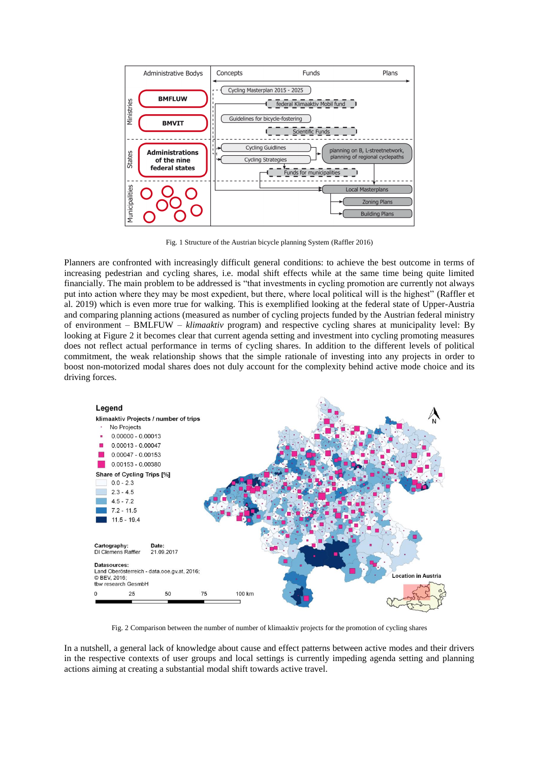

Fig. 1 Structure of the Austrian bicycle planning System (Raffler 2016)

Planners are confronted with increasingly difficult general conditions: to achieve the best outcome in terms of increasing pedestrian and cycling shares, i.e. modal shift effects while at the same time being quite limited financially. The main problem to be addressed is "that investments in cycling promotion are currently not always put into action where they may be most expedient, but there, where local political will is the highest" (Raffler et al. 2019) which is even more true for walking. This is exemplified looking at the federal state of Upper-Austria and comparing planning actions (measured as number of cycling projects funded by the Austrian federal ministry of environment – BMLFUW – *klimaaktiv* program) and respective cycling shares at municipality level: By looking at Figure 2 it becomes clear that current agenda setting and investment into cycling promoting measures does not reflect actual performance in terms of cycling shares. In addition to the different levels of political commitment, the weak relationship shows that the simple rationale of investing into any projects in order to boost non-motorized modal shares does not duly account for the complexity behind active mode choice and its driving forces.



Fig. 2 Comparison between the number of number of klimaaktiv projects for the promotion of cycling shares

In a nutshell, a general lack of knowledge about cause and effect patterns between active modes and their drivers in the respective contexts of user groups and local settings is currently impeding agenda setting and planning actions aiming at creating a substantial modal shift towards active travel.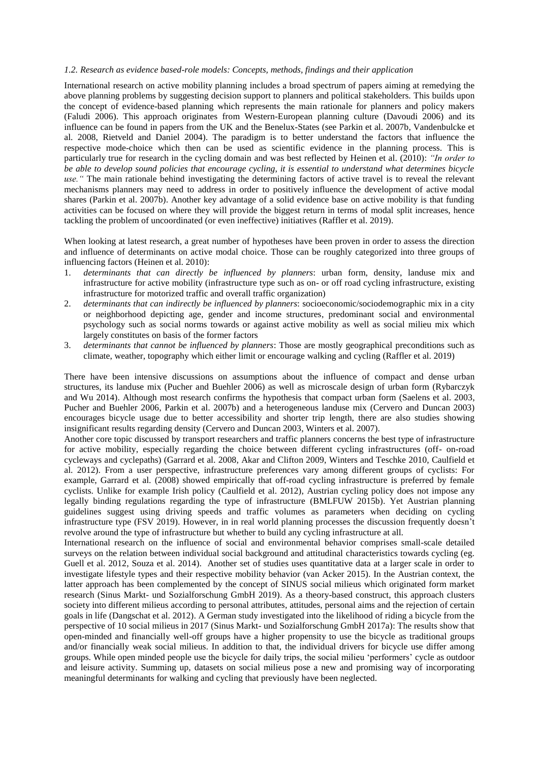# *1.2. Research as evidence based-role models: Concepts, methods, findings and their application*

International research on active mobility planning includes a broad spectrum of papers aiming at remedying the above planning problems by suggesting decision support to planners and political stakeholders. This builds upon the concept of evidence-based planning which represents the main rationale for planners and policy makers (Faludi 2006). This approach originates from Western-European planning culture (Davoudi 2006) and its influence can be found in papers from the UK and the Benelux-States (see Parkin et al. 2007b, Vandenbulcke et al. 2008, Rietveld and Daniel 2004). The paradigm is to better understand the factors that influence the respective mode-choice which then can be used as scientific evidence in the planning process. This is particularly true for research in the cycling domain and was best reflected by Heinen et al. (2010): *"In order to be able to develop sound policies that encourage cycling, it is essential to understand what determines bicycle use."* The main rationale behind investigating the determining factors of active travel is to reveal the relevant mechanisms planners may need to address in order to positively influence the development of active modal shares (Parkin et al. 2007b). Another key advantage of a solid evidence base on active mobility is that funding activities can be focused on where they will provide the biggest return in terms of modal split increases, hence tackling the problem of uncoordinated (or even ineffective) initiatives (Raffler et al. 2019).

When looking at latest research, a great number of hypotheses have been proven in order to assess the direction and influence of determinants on active modal choice. Those can be roughly categorized into three groups of influencing factors (Heinen et al. 2010):

- 1. *determinants that can directly be influenced by planners*: urban form, density, landuse mix and infrastructure for active mobility (infrastructure type such as on- or off road cycling infrastructure, existing infrastructure for motorized traffic and overall traffic organization)
- 2. *determinants that can indirectly be influenced by planners*: socioeconomic/sociodemographic mix in a city or neighborhood depicting age, gender and income structures, predominant social and environmental psychology such as social norms towards or against active mobility as well as social milieu mix which largely constitutes on basis of the former factors
- 3. *determinants that cannot be influenced by planners*: Those are mostly geographical preconditions such as climate, weather, topography which either limit or encourage walking and cycling (Raffler et al. 2019)

There have been intensive discussions on assumptions about the influence of compact and dense urban structures, its landuse mix (Pucher and Buehler 2006) as well as microscale design of urban form (Rybarczyk and Wu 2014). Although most research confirms the hypothesis that compact urban form (Saelens et al. 2003, Pucher and Buehler 2006, Parkin et al. 2007b) and a heterogeneous landuse mix (Cervero and Duncan 2003) encourages bicycle usage due to better accessibility and shorter trip length, there are also studies showing insignificant results regarding density (Cervero and Duncan 2003, Winters et al. 2007).

Another core topic discussed by transport researchers and traffic planners concerns the best type of infrastructure for active mobility, especially regarding the choice between different cycling infrastructures (off- on-road cycleways and cyclepaths) (Garrard et al. 2008, Akar and Clifton 2009, Winters and Teschke 2010, Caulfield et al. 2012). From a user perspective, infrastructure preferences vary among different groups of cyclists: For example, Garrard et al. (2008) showed empirically that off-road cycling infrastructure is preferred by female cyclists. Unlike for example Irish policy (Caulfield et al. 2012), Austrian cycling policy does not impose any legally binding regulations regarding the type of infrastructure (BMLFUW 2015b). Yet Austrian planning guidelines suggest using driving speeds and traffic volumes as parameters when deciding on cycling infrastructure type (FSV 2019). However, in in real world planning processes the discussion frequently doesn't revolve around the type of infrastructure but whether to build any cycling infrastructure at all.

International research on the influence of social and environmental behavior comprises small-scale detailed surveys on the relation between individual social background and attitudinal characteristics towards cycling (eg. Guell et al. 2012, Souza et al. 2014). Another set of studies uses quantitative data at a larger scale in order to investigate lifestyle types and their respective mobility behavior (van Acker 2015). In the Austrian context, the latter approach has been complemented by the concept of SINUS social milieus which originated form market research (Sinus Markt- und Sozialforschung GmbH 2019). As a theory-based construct, this approach clusters society into different milieus according to personal attributes, attitudes, personal aims and the rejection of certain goals in life (Dangschat et al. 2012). A German study investigated into the likelihood of riding a bicycle from the perspective of 10 social milieus in 2017 (Sinus Markt- und Sozialforschung GmbH 2017a): The results show that open-minded and financially well-off groups have a higher propensity to use the bicycle as traditional groups and/or financially weak social milieus. In addition to that, the individual drivers for bicycle use differ among groups. While open minded people use the bicycle for daily trips, the social milieu 'performers' cycle as outdoor and leisure activity. Summing up, datasets on social milieus pose a new and promising way of incorporating meaningful determinants for walking and cycling that previously have been neglected.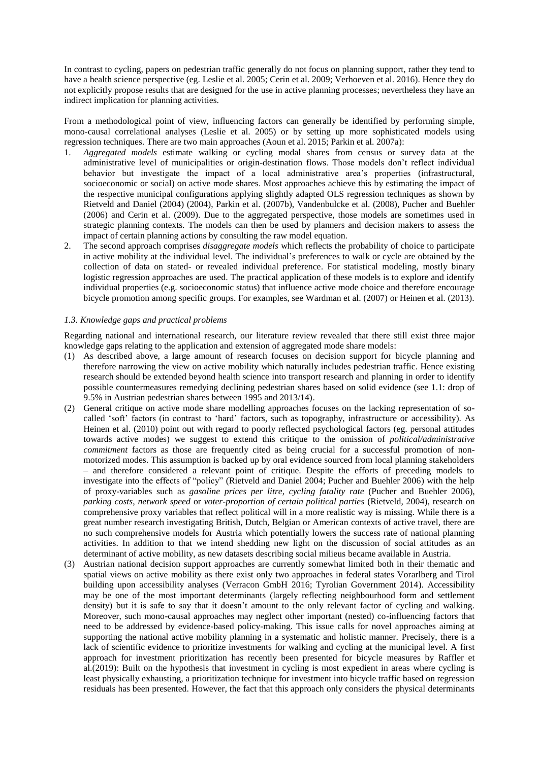In contrast to cycling, papers on pedestrian traffic generally do not focus on planning support, rather they tend to have a health science perspective (eg. Leslie et al. 2005; Cerin et al. 2009; Verhoeven et al. 2016). Hence they do not explicitly propose results that are designed for the use in active planning processes; nevertheless they have an indirect implication for planning activities.

From a methodological point of view, influencing factors can generally be identified by performing simple, mono-causal correlational analyses (Leslie et al. 2005) or by setting up more sophisticated models using regression techniques. There are two main approaches (Aoun et al. 2015; Parkin et al. 2007a):

- 1. *Aggregated models* estimate walking or cycling modal shares from census or survey data at the administrative level of municipalities or origin-destination flows. Those models don't reflect individual behavior but investigate the impact of a local administrative area's properties (infrastructural, socioeconomic or social) on active mode shares. Most approaches achieve this by estimating the impact of the respective municipal configurations applying slightly adapted OLS regression techniques as shown by Rietveld and Daniel (2004) (2004), Parkin et al. (2007b), Vandenbulcke et al. (2008), Pucher and Buehler (2006) and Cerin et al. (2009). Due to the aggregated perspective, those models are sometimes used in strategic planning contexts. The models can then be used by planners and decision makers to assess the impact of certain planning actions by consulting the raw model equation.
- 2. The second approach comprises *disaggregate models* which reflects the probability of choice to participate in active mobility at the individual level. The individual's preferences to walk or cycle are obtained by the collection of data on stated- or revealed individual preference. For statistical modeling, mostly binary logistic regression approaches are used. The practical application of these models is to explore and identify individual properties (e.g. socioeconomic status) that influence active mode choice and therefore encourage bicycle promotion among specific groups. For examples, see Wardman et al. (2007) or Heinen et al. (2013).

# *1.3. Knowledge gaps and practical problems*

Regarding national and international research, our literature review revealed that there still exist three major knowledge gaps relating to the application and extension of aggregated mode share models:

- (1) As described above, a large amount of research focuses on decision support for bicycle planning and therefore narrowing the view on active mobility which naturally includes pedestrian traffic. Hence existing research should be extended beyond health science into transport research and planning in order to identify possible countermeasures remedying declining pedestrian shares based on solid evidence (see 1.1: drop of 9.5% in Austrian pedestrian shares between 1995 and 2013/14).
- (2) General critique on active mode share modelling approaches focuses on the lacking representation of socalled 'soft' factors (in contrast to 'hard' factors, such as topography, infrastructure or accessibility). As Heinen et al. (2010) point out with regard to poorly reflected psychological factors (eg. personal attitudes towards active modes) we suggest to extend this critique to the omission of *political/administrative commitment* factors as those are frequently cited as being crucial for a successful promotion of nonmotorized modes. This assumption is backed up by oral evidence sourced from local planning stakeholders – and therefore considered a relevant point of critique. Despite the efforts of preceding models to investigate into the effects of "policy" (Rietveld and Daniel 2004; Pucher and Buehler 2006) with the help of proxy-variables such as *gasoline prices per litre*, *cycling fatality rate* (Pucher and Buehler 2006), *parking costs*, *network speed* or *voter-proportion of certain political parties* (Rietveld, 2004), research on comprehensive proxy variables that reflect political will in a more realistic way is missing. While there is a great number research investigating British, Dutch, Belgian or American contexts of active travel, there are no such comprehensive models for Austria which potentially lowers the success rate of national planning activities. In addition to that we intend shedding new light on the discussion of social attitudes as an determinant of active mobility, as new datasets describing social milieus became available in Austria.
- (3) Austrian national decision support approaches are currently somewhat limited both in their thematic and spatial views on active mobility as there exist only two approaches in federal states Vorarlberg and Tirol building upon accessibility analyses (Verracon GmbH 2016; Tyrolian Government 2014). Accessibility may be one of the most important determinants (largely reflecting neighbourhood form and settlement density) but it is safe to say that it doesn't amount to the only relevant factor of cycling and walking. Moreover, such mono-causal approaches may neglect other important (nested) co-influencing factors that need to be addressed by evidence-based policy-making. This issue calls for novel approaches aiming at supporting the national active mobility planning in a systematic and holistic manner. Precisely, there is a lack of scientific evidence to prioritize investments for walking and cycling at the municipal level. A first approach for investment prioritization has recently been presented for bicycle measures by Raffler et al.(2019): Built on the hypothesis that investment in cycling is most expedient in areas where cycling is least physically exhausting, a prioritization technique for investment into bicycle traffic based on regression residuals has been presented. However, the fact that this approach only considers the physical determinants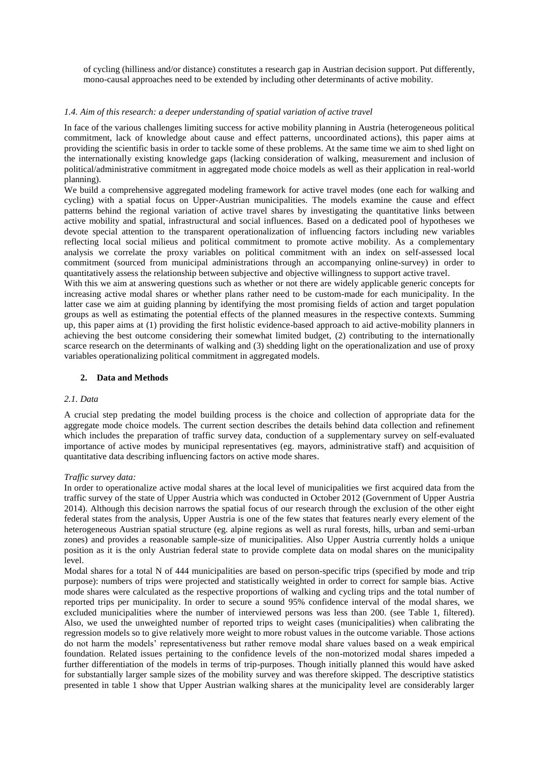of cycling (hilliness and/or distance) constitutes a research gap in Austrian decision support. Put differently, mono-causal approaches need to be extended by including other determinants of active mobility.

# *1.4. Aim of this research: a deeper understanding of spatial variation of active travel*

In face of the various challenges limiting success for active mobility planning in Austria (heterogeneous political commitment, lack of knowledge about cause and effect patterns, uncoordinated actions), this paper aims at providing the scientific basis in order to tackle some of these problems. At the same time we aim to shed light on the internationally existing knowledge gaps (lacking consideration of walking, measurement and inclusion of political/administrative commitment in aggregated mode choice models as well as their application in real-world planning).

We build a comprehensive aggregated modeling framework for active travel modes (one each for walking and cycling) with a spatial focus on Upper-Austrian municipalities. The models examine the cause and effect patterns behind the regional variation of active travel shares by investigating the quantitative links between active mobility and spatial, infrastructural and social influences. Based on a dedicated pool of hypotheses we devote special attention to the transparent operationalization of influencing factors including new variables reflecting local social milieus and political commitment to promote active mobility. As a complementary analysis we correlate the proxy variables on political commitment with an index on self-assessed local commitment (sourced from municipal administrations through an accompanying online-survey) in order to quantitatively assess the relationship between subjective and objective willingness to support active travel.

With this we aim at answering questions such as whether or not there are widely applicable generic concepts for increasing active modal shares or whether plans rather need to be custom-made for each municipality. In the latter case we aim at guiding planning by identifying the most promising fields of action and target population groups as well as estimating the potential effects of the planned measures in the respective contexts. Summing up, this paper aims at (1) providing the first holistic evidence-based approach to aid active-mobility planners in achieving the best outcome considering their somewhat limited budget, (2) contributing to the internationally scarce research on the determinants of walking and (3) shedding light on the operationalization and use of proxy variables operationalizing political commitment in aggregated models.

# **2. Data and Methods**

## *2.1. Data*

A crucial step predating the model building process is the choice and collection of appropriate data for the aggregate mode choice models. The current section describes the details behind data collection and refinement which includes the preparation of traffic survey data, conduction of a supplementary survey on self-evaluated importance of active modes by municipal representatives (eg. mayors, administrative staff) and acquisition of quantitative data describing influencing factors on active mode shares.

## *Traffic survey data:*

In order to operationalize active modal shares at the local level of municipalities we first acquired data from the traffic survey of the state of Upper Austria which was conducted in October 2012 (Government of Upper Austria 2014). Although this decision narrows the spatial focus of our research through the exclusion of the other eight federal states from the analysis, Upper Austria is one of the few states that features nearly every element of the heterogeneous Austrian spatial structure (eg. alpine regions as well as rural forests, hills, urban and semi-urban zones) and provides a reasonable sample-size of municipalities. Also Upper Austria currently holds a unique position as it is the only Austrian federal state to provide complete data on modal shares on the municipality level.

Modal shares for a total N of 444 municipalities are based on person-specific trips (specified by mode and trip purpose): numbers of trips were projected and statistically weighted in order to correct for sample bias. Active mode shares were calculated as the respective proportions of walking and cycling trips and the total number of reported trips per municipality. In order to secure a sound 95% confidence interval of the modal shares, we excluded municipalities where the number of interviewed persons was less than 200. (see Table 1, filtered). Also, we used the unweighted number of reported trips to weight cases (municipalities) when calibrating the regression models so to give relatively more weight to more robust values in the outcome variable. Those actions do not harm the models' representativeness but rather remove modal share values based on a weak empirical foundation. Related issues pertaining to the confidence levels of the non-motorized modal shares impeded a further differentiation of the models in terms of trip-purposes. Though initially planned this would have asked for substantially larger sample sizes of the mobility survey and was therefore skipped. The descriptive statistics presented in table 1 show that Upper Austrian walking shares at the municipality level are considerably larger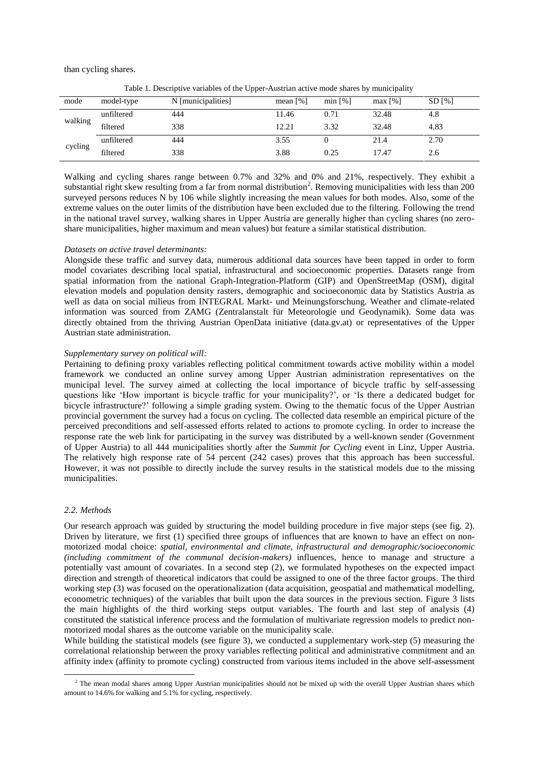than cycling shares.

| mode    | model-type | . .<br>N [municipalities] | mean $\lceil\% \rceil$ | min [%]                        | max [%] | SD [%] |
|---------|------------|---------------------------|------------------------|--------------------------------|---------|--------|
|         | unfiltered | 444                       | 11.46                  | 32.48<br>0.71<br>32.48<br>3.32 |         | 4.8    |
| walking | filtered   | 338                       | 12.21                  |                                |         | 4.83   |
|         | unfiltered | 444                       | 3.55                   |                                | 21.4    | 2.70   |
| cycling | filtered   | 338                       | 3.88                   | 0.25                           | 17.47   | 2.6    |

Table 1. Descriptive variables of the Upper-Austrian active mode shares by municipality

Walking and cycling shares range between 0.7% and 32% and 0% and 21%, respectively. They exhibit a substantial right skew resulting from a far from normal distribution<sup>2</sup>. Removing municipalities with less than 200 surveyed persons reduces N by 106 while slightly increasing the mean values for both modes. Also, some of the extreme values on the outer limits of the distribution have been excluded due to the filtering. Following the trend in the national travel survey, walking shares in Upper Austria are generally higher than cycling shares (no zeroshare municipalities, higher maximum and mean values) but feature a similar statistical distribution.

#### *Datasets on active travel determinants:*

Alongside these traffic and survey data, numerous additional data sources have been tapped in order to form model covariates describing local spatial, infrastructural and socioeconomic properties. Datasets range from spatial information from the national Graph-Integration-Platform (GIP) and OpenStreetMap (OSM), digital elevation models and population density rasters, demographic and socioeconomic data by Statistics Austria as well as data on social milieus from INTEGRAL Markt- und Meinungsforschung. Weather and climate-related information was sourced from ZAMG (Zentralanstalt für Meteorologie und Geodynamik). Some data was directly obtained from the thriving Austrian OpenData initiative (data.gv.at) or representatives of the Upper Austrian state administration.

#### *Supplementary survey on political will:*

Pertaining to defining proxy variables reflecting political commitment towards active mobility within a model framework we conducted an online survey among Upper Austrian administration representatives on the municipal level. The survey aimed at collecting the local importance of bicycle traffic by self-assessing questions like 'How important is bicycle traffic for your municipality?', or 'Is there a dedicated budget for bicycle infrastructure?' following a simple grading system. Owing to the thematic focus of the Upper Austrian provincial government the survey had a focus on cycling. The collected data resemble an empirical picture of the perceived preconditions and self-assessed efforts related to actions to promote cycling. In order to increase the response rate the web link for participating in the survey was distributed by a well-known sender (Government of Upper Austria) to all 444 municipalities shortly after the *Summit for Cycling* event in Linz, Upper Austria. The relatively high response rate of 54 percent (242 cases) proves that this approach has been successful. However, it was not possible to directly include the survey results in the statistical models due to the missing municipalities.

## *2.2. Methods*

 $\overline{\phantom{a}}$ 

Our research approach was guided by structuring the model building procedure in five major steps (see fig. 2). Driven by literature, we first (1) specified three groups of influences that are known to have an effect on nonmotorized modal choice: *spatial, environmental and climate, infrastructural and demographic/socioeconomic (including commitment of the communal decision-makers)* influences, hence to manage and structure a potentially vast amount of covariates. In a second step (2), we formulated hypotheses on the expected impact direction and strength of theoretical indicators that could be assigned to one of the three factor groups. The third working step (3) was focused on the operationalization (data acquisition, geospatial and mathematical modelling, econometric techniques) of the variables that built upon the data sources in the previous section. Figure 3 lists the main highlights of the third working steps output variables. The fourth and last step of analysis (4) constituted the statistical inference process and the formulation of multivariate regression models to predict nonmotorized modal shares as the outcome variable on the municipality scale.

While building the statistical models (see figure 3), we conducted a supplementary work-step (5) measuring the correlational relationship between the proxy variables reflecting political and administrative commitment and an affinity index (affinity to promote cycling) constructed from various items included in the above self-assessment

<sup>&</sup>lt;sup>2</sup> The mean modal shares among Upper Austrian municipalities should not be mixed up with the overall Upper Austrian shares which amount to 14.6% for walking and 5.1% for cycling, respectively.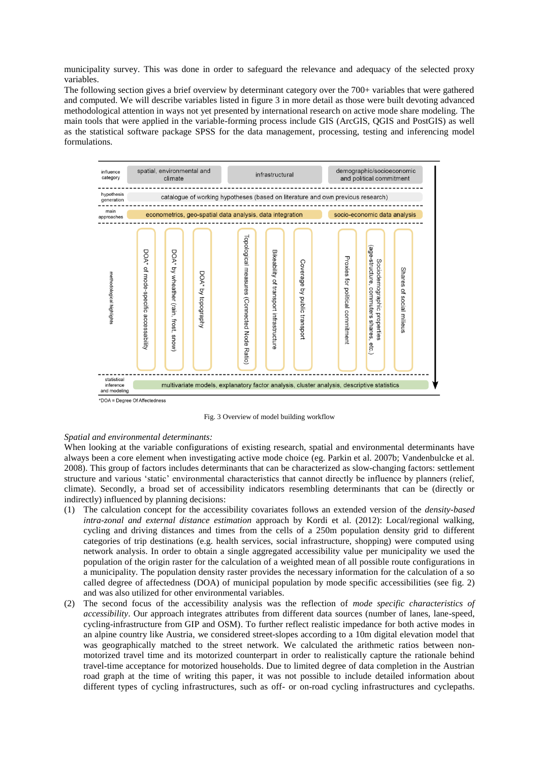municipality survey. This was done in order to safeguard the relevance and adequacy of the selected proxy variables.

The following section gives a brief overview by determinant category over the 700+ variables that were gathered and computed. We will describe variables listed in figure 3 in more detail as those were built devoting advanced methodological attention in ways not yet presented by international research on active mode share modeling. The main tools that were applied in the variable-forming process include GIS (ArcGIS, QGIS and PostGIS) as well as the statistical software package SPSS for the data management, processing, testing and inferencing model formulations.



Fig. 3 Overview of model building workflow

## *Spatial and environmental determinants:*

When looking at the variable configurations of existing research, spatial and environmental determinants have always been a core element when investigating active mode choice (eg. Parkin et al. 2007b; Vandenbulcke et al. 2008). This group of factors includes determinants that can be characterized as slow-changing factors: settlement structure and various 'static' environmental characteristics that cannot directly be influence by planners (relief, climate). Secondly, a broad set of accessibility indicators resembling determinants that can be (directly or indirectly) influenced by planning decisions:

- (1) The calculation concept for the accessibility covariates follows an extended version of the *density-based intra-zonal and external distance estimation* approach by Kordi et al. (2012): Local/regional walking, cycling and driving distances and times from the cells of a 250m population density grid to different categories of trip destinations (e.g. health services, social infrastructure, shopping) were computed using network analysis. In order to obtain a single aggregated accessibility value per municipality we used the population of the origin raster for the calculation of a weighted mean of all possible route configurations in a municipality. The population density raster provides the necessary information for the calculation of a so called degree of affectedness (DOA) of municipal population by mode specific accessibilities (see fig. 2) and was also utilized for other environmental variables.
- (2) The second focus of the accessibility analysis was the reflection of *mode specific characteristics of accessibility*. Our approach integrates attributes from different data sources (number of lanes, lane-speed, cycling-infrastructure from GIP and OSM). To further reflect realistic impedance for both active modes in an alpine country like Austria, we considered street-slopes according to a 10m digital elevation model that was geographically matched to the street network. We calculated the arithmetic ratios between nonmotorized travel time and its motorized counterpart in order to realistically capture the rationale behind travel-time acceptance for motorized households. Due to limited degree of data completion in the Austrian road graph at the time of writing this paper, it was not possible to include detailed information about different types of cycling infrastructures, such as off- or on-road cycling infrastructures and cyclepaths.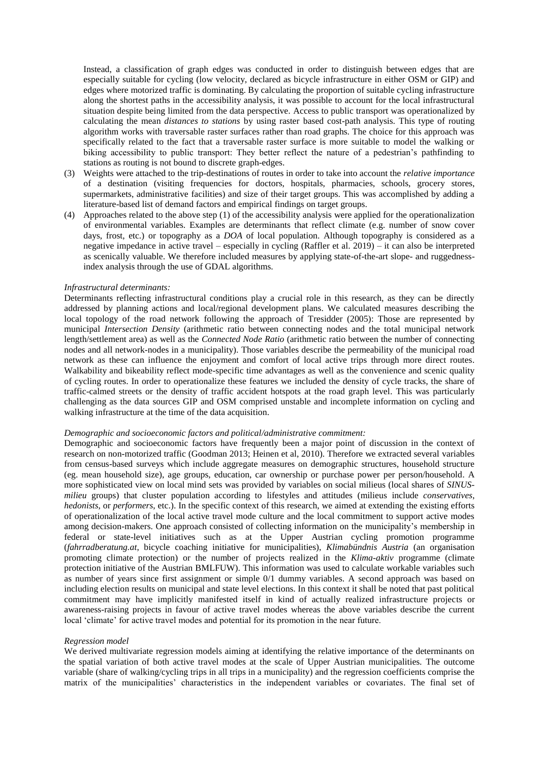Instead, a classification of graph edges was conducted in order to distinguish between edges that are especially suitable for cycling (low velocity, declared as bicycle infrastructure in either OSM or GIP) and edges where motorized traffic is dominating. By calculating the proportion of suitable cycling infrastructure along the shortest paths in the accessibility analysis, it was possible to account for the local infrastructural situation despite being limited from the data perspective. Access to public transport was operationalized by calculating the mean *distances to stations* by using raster based cost-path analysis. This type of routing algorithm works with traversable raster surfaces rather than road graphs. The choice for this approach was specifically related to the fact that a traversable raster surface is more suitable to model the walking or biking accessibility to public transport: They better reflect the nature of a pedestrian's pathfinding to stations as routing is not bound to discrete graph-edges.

- (3) Weights were attached to the trip-destinations of routes in order to take into account the *relative importance* of a destination (visiting frequencies for doctors, hospitals, pharmacies, schools, grocery stores, supermarkets, administrative facilities) and size of their target groups. This was accomplished by adding a literature-based list of demand factors and empirical findings on target groups.
- (4) Approaches related to the above step (1) of the accessibility analysis were applied for the operationalization of environmental variables. Examples are determinants that reflect climate (e.g. number of snow cover days, frost, etc.) or topography as a *DOA* of local population. Although topography is considered as a negative impedance in active travel – especially in cycling (Raffler et al. 2019) – it can also be interpreted as scenically valuable. We therefore included measures by applying state-of-the-art slope- and ruggednessindex analysis through the use of GDAL algorithms.

#### *Infrastructural determinants:*

Determinants reflecting infrastructural conditions play a crucial role in this research, as they can be directly addressed by planning actions and local/regional development plans. We calculated measures describing the local topology of the road network following the approach of Tresidder (2005): Those are represented by municipal *Intersection Density* (arithmetic ratio between connecting nodes and the total municipal network length/settlement area) as well as the *Connected Node Ratio* (arithmetic ratio between the number of connecting nodes and all network-nodes in a municipality). Those variables describe the permeability of the municipal road network as these can influence the enjoyment and comfort of local active trips through more direct routes. Walkability and bikeability reflect mode-specific time advantages as well as the convenience and scenic quality of cycling routes. In order to operationalize these features we included the density of cycle tracks, the share of traffic-calmed streets or the density of traffic accident hotspots at the road graph level. This was particularly challenging as the data sources GIP and OSM comprised unstable and incomplete information on cycling and walking infrastructure at the time of the data acquisition.

#### *Demographic and socioeconomic factors and political/administrative commitment:*

Demographic and socioeconomic factors have frequently been a major point of discussion in the context of research on non-motorized traffic (Goodman 2013; Heinen et al, 2010). Therefore we extracted several variables from census-based surveys which include aggregate measures on demographic structures, household structure (eg. mean household size), age groups, education, car ownership or purchase power per person/household. A more sophisticated view on local mind sets was provided by variables on social milieus (local shares of *SINUSmilieu* groups) that cluster population according to lifestyles and attitudes (milieus include *conservatives*, *hedonists*, or *performers*, etc.). In the specific context of this research, we aimed at extending the existing efforts of operationalization of the local active travel mode culture and the local commitment to support active modes among decision-makers. One approach consisted of collecting information on the municipality's membership in federal or state-level initiatives such as at the Upper Austrian cycling promotion programme (*fahrradberatung.at*, bicycle coaching initiative for municipalities), *Klimabündnis Austria* (an organisation promoting climate protection) or the number of projects realized in the *Klima-aktiv* programme (climate protection initiative of the Austrian BMLFUW). This information was used to calculate workable variables such as number of years since first assignment or simple 0/1 dummy variables. A second approach was based on including election results on municipal and state level elections. In this context it shall be noted that past political commitment may have implicitly manifested itself in kind of actually realized infrastructure projects or awareness-raising projects in favour of active travel modes whereas the above variables describe the current local 'climate' for active travel modes and potential for its promotion in the near future.

#### *Regression model*

We derived multivariate regression models aiming at identifying the relative importance of the determinants on the spatial variation of both active travel modes at the scale of Upper Austrian municipalities. The outcome variable (share of walking/cycling trips in all trips in a municipality) and the regression coefficients comprise the matrix of the municipalities' characteristics in the independent variables or covariates. The final set of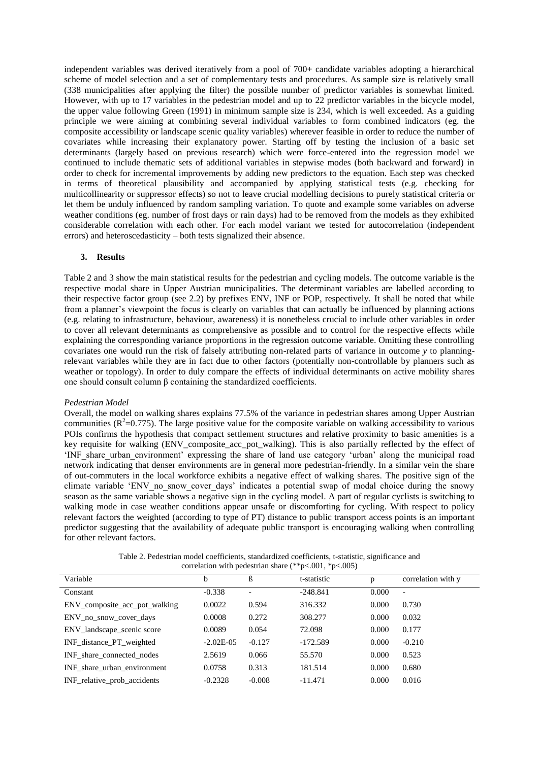independent variables was derived iteratively from a pool of 700+ candidate variables adopting a hierarchical scheme of model selection and a set of complementary tests and procedures. As sample size is relatively small (338 municipalities after applying the filter) the possible number of predictor variables is somewhat limited. However, with up to 17 variables in the pedestrian model and up to 22 predictor variables in the bicycle model, the upper value following Green (1991) in minimum sample size is 234, which is well exceeded. As a guiding principle we were aiming at combining several individual variables to form combined indicators (eg. the composite accessibility or landscape scenic quality variables) wherever feasible in order to reduce the number of covariates while increasing their explanatory power. Starting off by testing the inclusion of a basic set determinants (largely based on previous research) which were force-entered into the regression model we continued to include thematic sets of additional variables in stepwise modes (both backward and forward) in order to check for incremental improvements by adding new predictors to the equation. Each step was checked in terms of theoretical plausibility and accompanied by applying statistical tests (e.g. checking for multicollinearity or suppressor effects) so not to leave crucial modelling decisions to purely statistical criteria or let them be unduly influenced by random sampling variation. To quote and example some variables on adverse weather conditions (eg. number of frost days or rain days) had to be removed from the models as they exhibited considerable correlation with each other. For each model variant we tested for autocorrelation (independent errors) and heteroscedasticity – both tests signalized their absence.

# **3. Results**

Table 2 and 3 show the main statistical results for the pedestrian and cycling models. The outcome variable is the respective modal share in Upper Austrian municipalities. The determinant variables are labelled according to their respective factor group (see 2.2) by prefixes ENV, INF or POP, respectively. It shall be noted that while from a planner's viewpoint the focus is clearly on variables that can actually be influenced by planning actions (e.g. relating to infrastructure, behaviour, awareness) it is nonetheless crucial to include other variables in order to cover all relevant determinants as comprehensive as possible and to control for the respective effects while explaining the corresponding variance proportions in the regression outcome variable. Omitting these controlling covariates one would run the risk of falsely attributing non-related parts of variance in outcome *y* to planningrelevant variables while they are in fact due to other factors (potentially non-controllable by planners such as weather or topology). In order to duly compare the effects of individual determinants on active mobility shares one should consult column β containing the standardized coefficients.

#### *Pedestrian Model*

Overall, the model on walking shares explains 77.5% of the variance in pedestrian shares among Upper Austrian communities ( $R^2$ =0.775). The large positive value for the composite variable on walking accessibility to various POIs confirms the hypothesis that compact settlement structures and relative proximity to basic amenities is a key requisite for walking (ENV composite acc pot walking). This is also partially reflected by the effect of 'INF\_share\_urban\_environment' expressing the share of land use category 'urban' along the municipal road network indicating that denser environments are in general more pedestrian-friendly. In a similar vein the share of out-commuters in the local workforce exhibits a negative effect of walking shares. The positive sign of the climate variable 'ENV no snow cover days' indicates a potential swap of modal choice during the snowy season as the same variable shows a negative sign in the cycling model. A part of regular cyclists is switching to walking mode in case weather conditions appear unsafe or discomforting for cycling. With respect to policy relevant factors the weighted (according to type of PT) distance to public transport access points is an important predictor suggesting that the availability of adequate public transport is encouraging walking when controlling for other relevant factors.

| Table 2. Pedestrian model coefficients, standardized coefficients, t-statistic, significance and |
|--------------------------------------------------------------------------------------------------|
| correlation with pedestrian share $(*p<.001, *p<.005)$                                           |

| Variable                      | b           | ß        | t-statistic | p     | correlation with y       |
|-------------------------------|-------------|----------|-------------|-------|--------------------------|
| Constant                      | $-0.338$    |          | $-248.841$  | 0.000 | $\overline{\phantom{a}}$ |
| ENV composite acc pot walking | 0.0022      | 0.594    | 316.332     | 0.000 | 0.730                    |
| ENV no snow cover days        | 0.0008      | 0.272    | 308.277     | 0.000 | 0.032                    |
| ENV_landscape_scenic score    | 0.0089      | 0.054    | 72.098      | 0.000 | 0.177                    |
| INF distance PT weighted      | $-2.02E-05$ | $-0.127$ | $-172.589$  | 0.000 | $-0.210$                 |
| INF share connected nodes     | 2.5619      | 0.066    | 55.570      | 0.000 | 0.523                    |
| INF share urban environment   | 0.0758      | 0.313    | 181.514     | 0.000 | 0.680                    |
| INF relative prob accidents   | $-0.2328$   | $-0.008$ | $-11.471$   | 0.000 | 0.016                    |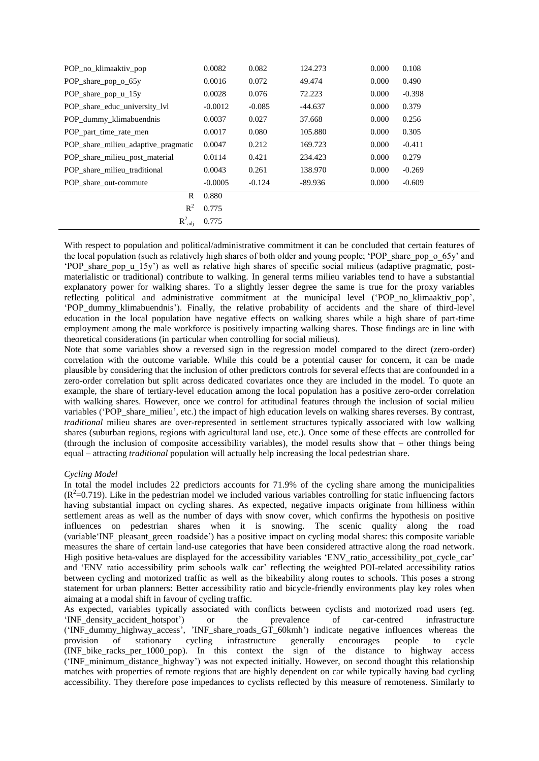| POP no klimaaktiv pop               | 0.0082    | 0.082    | 124.273   | 0.000 | 0.108    |
|-------------------------------------|-----------|----------|-----------|-------|----------|
| POP_share_pop_o_65y                 | 0.0016    | 0.072    | 49.474    | 0.000 | 0.490    |
| POP share pop $u_{15}$              | 0.0028    | 0.076    | 72.223    | 0.000 | $-0.398$ |
| POP share educ university lyl       | $-0.0012$ | $-0.085$ | $-44.637$ | 0.000 | 0.379    |
| POP_dummy_klimabuendnis             | 0.0037    | 0.027    | 37.668    | 0.000 | 0.256    |
| POP part time rate men              | 0.0017    | 0.080    | 105.880   | 0.000 | 0.305    |
| POP share milieu adaptive pragmatic | 0.0047    | 0.212    | 169.723   | 0.000 | $-0.411$ |
| POP_share_milieu_post_material      | 0.0114    | 0.421    | 234.423   | 0.000 | 0.279    |
| POP share milieu traditional        | 0.0043    | 0.261    | 138.970   | 0.000 | $-0.269$ |
| POP share out-commute               | $-0.0005$ | $-0.124$ | $-89.936$ | 0.000 | $-0.609$ |
| R                                   | 0.880     |          |           |       |          |
| $R^2$                               | 0.775     |          |           |       |          |
| $R^2_{\text{adj}}$                  | 0.775     |          |           |       |          |

With respect to population and political/administrative commitment it can be concluded that certain features of the local population (such as relatively high shares of both older and young people; 'POP\_share\_pop\_o\_65y' and 'POP\_share\_pop\_u\_15y') as well as relative high shares of specific social milieus (adaptive pragmatic, postmaterialistic or traditional) contribute to walking. In general terms milieu variables tend to have a substantial explanatory power for walking shares. To a slightly lesser degree the same is true for the proxy variables reflecting political and administrative commitment at the municipal level ('POP\_no\_klimaaktiv\_pop', 'POP\_dummy\_klimabuendnis'). Finally, the relative probability of accidents and the share of third-level education in the local population have negative effects on walking shares while a high share of part-time employment among the male workforce is positively impacting walking shares. Those findings are in line with theoretical considerations (in particular when controlling for social milieus).

Note that some variables show a reversed sign in the regression model compared to the direct (zero-order) correlation with the outcome variable. While this could be a potential causer for concern, it can be made plausible by considering that the inclusion of other predictors controls for several effects that are confounded in a zero-order correlation but split across dedicated covariates once they are included in the model. To quote an example, the share of tertiary-level education among the local population has a positive zero-order correlation with walking shares. However, once we control for attitudinal features through the inclusion of social milieu variables ('POP\_share\_milieu', etc.) the impact of high education levels on walking shares reverses. By contrast, *traditional* milieu shares are over-represented in settlement structures typically associated with low walking shares (suburban regions, regions with agricultural land use, etc.). Once some of these effects are controlled for (through the inclusion of composite accessibility variables), the model results show that – other things being equal – attracting *traditional* population will actually help increasing the local pedestrian share.

# *Cycling Model*

In total the model includes 22 predictors accounts for 71.9% of the cycling share among the municipalities  $(R^2=0.719)$ . Like in the pedestrian model we included various variables controlling for static influencing factors having substantial impact on cycling shares. As expected, negative impacts originate from hilliness within settlement areas as well as the number of days with snow cover, which confirms the hypothesis on positive influences on pedestrian shares when it is snowing. The scenic quality along the road (variable'INF\_pleasant\_green\_roadside') has a positive impact on cycling modal shares: this composite variable measures the share of certain land-use categories that have been considered attractive along the road network. High positive beta-values are displayed for the accessibility variables 'ENV\_ratio\_accessibility\_pot\_cycle\_car' and 'ENV ratio accessibility prim\_schools\_walk\_car' reflecting the weighted POI-related accessibility ratios between cycling and motorized traffic as well as the bikeability along routes to schools. This poses a strong statement for urban planners: Better accessibility ratio and bicycle-friendly environments play key roles when aimaing at a modal shift in favour of cycling traffic.

As expected, variables typically associated with conflicts between cyclists and motorized road users (eg. 'INF\_density\_accident\_hotspot') or the prevalence of car-centred infrastructure 'INF\_density\_accident\_hotspot') or the prevalence of car-centred infrastructure ('INF\_dummy\_highway\_access', 'INF\_share\_roads\_GT\_60kmh') indicate negative influences whereas the provision of stationary cycling infrastructure generally encourages people to cycle (INF\_bike\_racks\_per\_1000\_pop). In this context the sign of the distance to highway access ('INF\_minimum\_distance\_highway') was not expected initially. However, on second thought this relationship matches with properties of remote regions that are highly dependent on car while typically having bad cycling accessibility. They therefore pose impedances to cyclists reflected by this measure of remoteness. Similarly to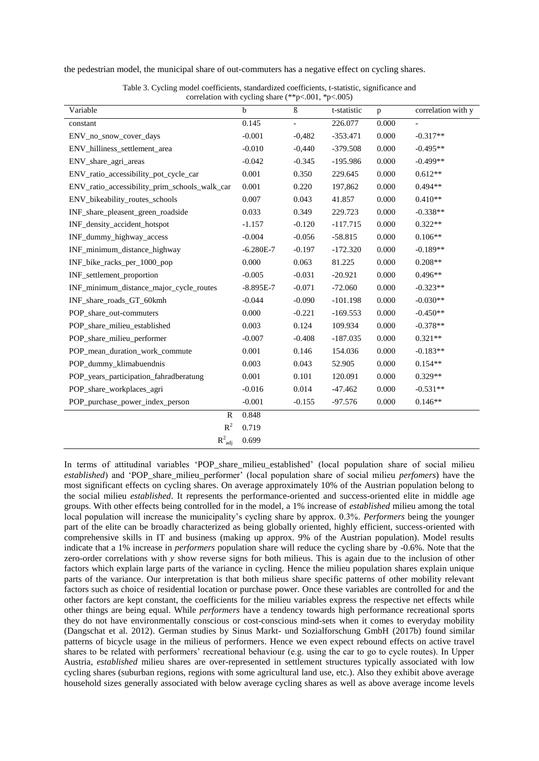the pedestrian model, the municipal share of out-commuters has a negative effect on cycling shares.

| Variable                                      | b             | ß        | t-statistic | p     | correlation with y |
|-----------------------------------------------|---------------|----------|-------------|-------|--------------------|
| constant                                      | 0.145         |          | 226.077     | 0.000 |                    |
| ENV_no_snow_cover_days                        | $-0.001$      | $-0,482$ | $-353.471$  | 0.000 | $-0.317**$         |
| ENV_hilliness_settlement_area                 | $-0.010$      | $-0,440$ | $-379.508$  | 0.000 | $-0.495**$         |
| ENV_share_agri_areas                          | $-0.042$      | $-0.345$ | $-195.986$  | 0.000 | $-0.499**$         |
| ENV_ratio_accessibility_pot_cycle_car         | 0.001         | 0.350    | 229.645     | 0.000 | $0.612**$          |
| ENV_ratio_accessibility_prim_schools_walk_car | 0.001         | 0.220    | 197,862     | 0.000 | $0.494**$          |
| ENV_bikeability_routes_schools                | 0.007         | 0.043    | 41.857      | 0.000 | $0.410**$          |
| INF_share_pleasent_green_roadside             | 0.033         | 0.349    | 229.723     | 0.000 | $-0.338**$         |
| INF_density_accident_hotspot                  | $-1.157$      | $-0.120$ | $-117.715$  | 0.000 | $0.322**$          |
| INF_dummy_highway_access                      | $-0.004$      | $-0.056$ | $-58.815$   | 0.000 | $0.106**$          |
| INF_minimum_distance_highway                  | $-6.280E - 7$ | $-0.197$ | $-172.320$  | 0.000 | $-0.189**$         |
| INF_bike_racks_per_1000_pop                   | 0.000         | 0.063    | 81.225      | 0.000 | $0.208**$          |
| INF_settlement_proportion                     | $-0.005$      | $-0.031$ | $-20.921$   | 0.000 | $0.496**$          |
| INF_minimum_distance_major_cycle_routes       | $-8.895E-7$   | $-0.071$ | $-72.060$   | 0.000 | $-0.323**$         |
| INF_share_roads_GT_60kmh                      | $-0.044$      | $-0.090$ | $-101.198$  | 0.000 | $-0.030**$         |
| POP_share_out-commuters                       | 0.000         | $-0.221$ | $-169.553$  | 0.000 | $-0.450**$         |
| POP_share_milieu_established                  | 0.003         | 0.124    | 109.934     | 0.000 | $-0.378**$         |
| POP_share_milieu_performer                    | $-0.007$      | $-0.408$ | $-187.035$  | 0.000 | $0.321**$          |
| POP_mean_duration_work_commute                | 0.001         | 0.146    | 154.036     | 0.000 | $-0.183**$         |
| POP_dummy_klimabuendnis                       | 0.003         | 0.043    | 52.905      | 0.000 | $0.154**$          |
| POP_years_participation_fahradberatung        | 0.001         | 0.101    | 120.091     | 0.000 | $0.329**$          |
| POP_share_workplaces_agri                     | $-0.016$      | 0.014    | $-47.462$   | 0.000 | $-0.531**$         |
| POP_purchase_power_index_person               | $-0.001$      | $-0.155$ | $-97.576$   | 0.000 | $0.146**$          |
| $\mathbb{R}$                                  | 0.848         |          |             |       |                    |
| $R^2$                                         | 0.719         |          |             |       |                    |
| $R^2_{\text{adj}}$                            | 0.699         |          |             |       |                    |

Table 3. Cycling model coefficients, standardized coefficients, t-statistic, significance and correlation with cycling share  $(**p<.001, *p<.005)$ 

In terms of attitudinal variables 'POP share milieu established' (local population share of social milieu *established*) and 'POP\_share\_milieu\_performer' (local population share of social milieu *perfomers*) have the most significant effects on cycling shares. On average approximately 10% of the Austrian population belong to the social milieu *established*. It represents the performance-oriented and success-oriented elite in middle age groups. With other effects being controlled for in the model, a 1% increase of *established* milieu among the total local population will increase the municipality's cycling share by approx. 0.3%. *Performers* being the younger part of the elite can be broadly characterized as being globally oriented, highly efficient, success-oriented with comprehensive skills in IT and business (making up approx. 9% of the Austrian population). Model results indicate that a 1% increase in *performers* population share will reduce the cycling share by -0.6%. Note that the zero-order correlations with *y* show reverse signs for both milieus. This is again due to the inclusion of other factors which explain large parts of the variance in cycling. Hence the milieu population shares explain unique parts of the variance. Our interpretation is that both milieus share specific patterns of other mobility relevant factors such as choice of residential location or purchase power. Once these variables are controlled for and the other factors are kept constant, the coefficients for the milieu variables express the respective net effects while other things are being equal. While *performers* have a tendency towards high performance recreational sports they do not have environmentally conscious or cost-conscious mind-sets when it comes to everyday mobility (Dangschat et al. 2012). German studies by Sinus Markt- und Sozialforschung GmbH (2017b) found similar patterns of bicycle usage in the milieus of performers. Hence we even expect rebound effects on active travel shares to be related with performers' recreational behaviour (e.g. using the car to go to cycle routes). In Upper Austria, *established* milieu shares are over-represented in settlement structures typically associated with low cycling shares (suburban regions, regions with some agricultural land use, etc.). Also they exhibit above average household sizes generally associated with below average cycling shares as well as above average income levels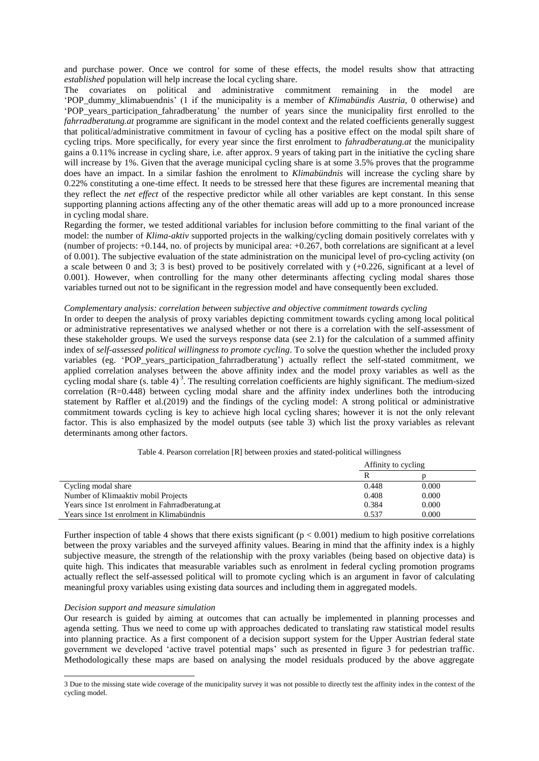and purchase power. Once we control for some of these effects, the model results show that attracting *established* population will help increase the local cycling share.

The covariates on political and administrative commitment remaining in the model are 'POP\_dummy\_klimabuendnis' (1 if the municipality is a member of *Klimabündis Austria*, 0 otherwise) and 'POP\_years\_participation\_fahradberatung' the number of years since the municipality first enrolled to the *fahrradberatung.at* programme are significant in the model context and the related coefficients generally suggest that political/administrative commitment in favour of cycling has a positive effect on the modal spilt share of cycling trips. More specifically, for every year since the first enrolment to *fahradberatung.at* the municipality gains a 0.11% increase in cycling share, i.e. after approx. 9 years of taking part in the initiative the cycling share will increase by 1%. Given that the average municipal cycling share is at some 3.5% proves that the programme does have an impact. In a similar fashion the enrolment to *Klimabündnis* will increase the cycling share by 0.22% constituting a one-time effect. It needs to be stressed here that these figures are incremental meaning that they reflect the *net effect* of the respective predictor while all other variables are kept constant. In this sense supporting planning actions affecting any of the other thematic areas will add up to a more pronounced increase in cycling modal share.

Regarding the former, we tested additional variables for inclusion before committing to the final variant of the model: the number of *Klima-aktiv* supported projects in the walking/cycling domain positively correlates with y (number of projects: +0.144, no. of projects by municipal area: +0.267, both correlations are significant at a level of 0.001). The subjective evaluation of the state administration on the municipal level of pro-cycling activity (on a scale between 0 and 3; 3 is best) proved to be positively correlated with y (+0.226, significant at a level of 0.001). However, when controlling for the many other determinants affecting cycling modal shares those variables turned out not to be significant in the regression model and have consequently been excluded.

#### *Complementary analysis: correlation between subjective and objective commitment towards cycling*

In order to deepen the analysis of proxy variables depicting commitment towards cycling among local political or administrative representatives we analysed whether or not there is a correlation with the self-assessment of these stakeholder groups. We used the surveys response data (see 2.1) for the calculation of a summed affinity index of *self-assessed political willingness to promote cycling*. To solve the question whether the included proxy variables (eg. 'POP\_years\_participation\_fahrradberatung') actually reflect the self-stated commitment, we applied correlation analyses between the above affinity index and the model proxy variables as well as the cycling modal share (s. table 4)<sup>3</sup>. The resulting correlation coefficients are highly significant. The medium-sized correlation (R=0.448) between cycling modal share and the affinity index underlines both the introducing statement by Raffler et al.(2019) and the findings of the cycling model: A strong political or administrative commitment towards cycling is key to achieve high local cycling shares; however it is not the only relevant factor. This is also emphasized by the model outputs (see table 3) which list the proxy variables as relevant determinants among other factors.

|                                                 | Affinity to cycling |       |  |
|-------------------------------------------------|---------------------|-------|--|
|                                                 |                     |       |  |
| Cycling modal share                             | 0.448               | 0.000 |  |
| Number of Klimaaktiv mobil Projects             | 0.408               | 0.000 |  |
| Years since 1st enrolment in Fahrradberatung.at | 0.384               | 0.000 |  |
| Years since 1st enrolment in Klimabundnis       | 0.537               | 0.000 |  |

Table 4. Pearson correlation [R] between proxies and stated-political willingness

Further inspection of table 4 shows that there exists significant  $(p < 0.001)$  medium to high positive correlations between the proxy variables and the surveyed affinity values. Bearing in mind that the affinity index is a highly subjective measure, the strength of the relationship with the proxy variables (being based on objective data) is quite high. This indicates that measurable variables such as enrolment in federal cycling promotion programs actually reflect the self-assessed political will to promote cycling which is an argument in favor of calculating meaningful proxy variables using existing data sources and including them in aggregated models.

# *Decision support and measure simulation*

 $\overline{a}$ 

Our research is guided by aiming at outcomes that can actually be implemented in planning processes and agenda setting. Thus we need to come up with approaches dedicated to translating raw statistical model results into planning practice. As a first component of a decision support system for the Upper Austrian federal state government we developed 'active travel potential maps' such as presented in figure 3 for pedestrian traffic. Methodologically these maps are based on analysing the model residuals produced by the above aggregate

<sup>3</sup> Due to the missing state wide coverage of the municipality survey it was not possible to directly test the affinity index in the context of the cycling model.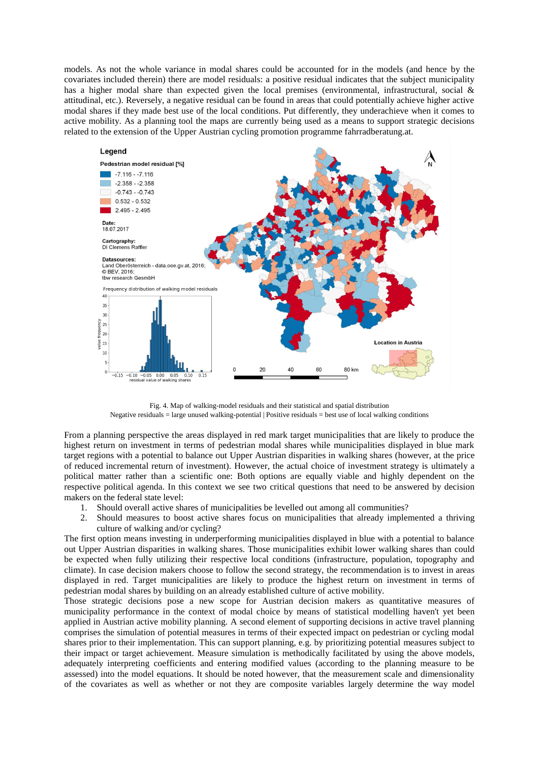models. As not the whole variance in modal shares could be accounted for in the models (and hence by the covariates included therein) there are model residuals: a positive residual indicates that the subject municipality has a higher modal share than expected given the local premises (environmental, infrastructural, social & attitudinal, etc.). Reversely, a negative residual can be found in areas that could potentially achieve higher active modal shares if they made best use of the local conditions. Put differently, they underachieve when it comes to active mobility. As a planning tool the maps are currently being used as a means to support strategic decisions related to the extension of the Upper Austrian cycling promotion programme fahrradberatung.at.



Fig. 4. Map of walking-model residuals and their statistical and spatial distribution Negative residuals = large unused walking-potential | Positive residuals = best use of local walking conditions

From a planning perspective the areas displayed in red mark target municipalities that are likely to produce the highest return on investment in terms of pedestrian modal shares while municipalities displayed in blue mark target regions with a potential to balance out Upper Austrian disparities in walking shares (however, at the price of reduced incremental return of investment). However, the actual choice of investment strategy is ultimately a political matter rather than a scientific one: Both options are equally viable and highly dependent on the respective political agenda. In this context we see two critical questions that need to be answered by decision makers on the federal state level:

- 1. Should overall active shares of municipalities be levelled out among all communities?
- 2. Should measures to boost active shares focus on municipalities that already implemented a thriving culture of walking and/or cycling?

The first option means investing in underperforming municipalities displayed in blue with a potential to balance out Upper Austrian disparities in walking shares. Those municipalities exhibit lower walking shares than could be expected when fully utilizing their respective local conditions (infrastructure, population, topography and climate). In case decision makers choose to follow the second strategy, the recommendation is to invest in areas displayed in red. Target municipalities are likely to produce the highest return on investment in terms of pedestrian modal shares by building on an already established culture of active mobility.

Those strategic decisions pose a new scope for Austrian decision makers as quantitative measures of municipality performance in the context of modal choice by means of statistical modelling haven't yet been applied in Austrian active mobility planning. A second element of supporting decisions in active travel planning comprises the simulation of potential measures in terms of their expected impact on pedestrian or cycling modal shares prior to their implementation. This can support planning, e.g. by prioritizing potential measures subject to their impact or target achievement. Measure simulation is methodically facilitated by using the above models, adequately interpreting coefficients and entering modified values (according to the planning measure to be assessed) into the model equations. It should be noted however, that the measurement scale and dimensionality of the covariates as well as whether or not they are composite variables largely determine the way model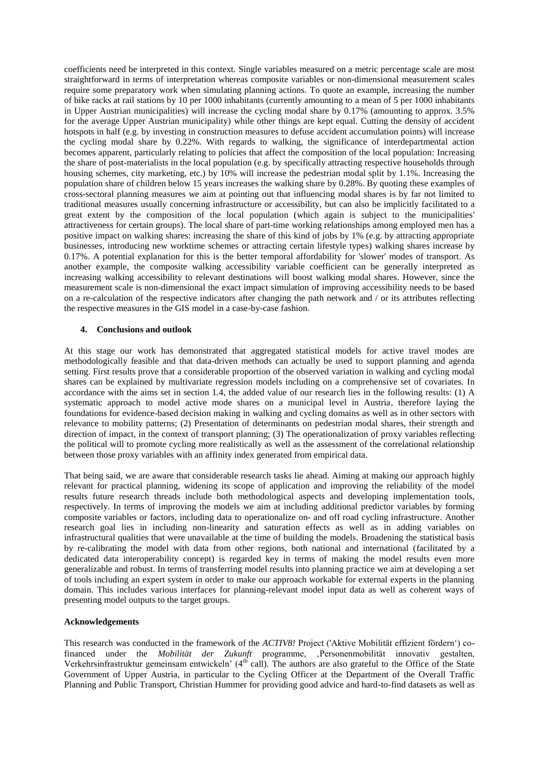coefficients need be interpreted in this context. Single variables measured on a metric percentage scale are most straightforward in terms of interpretation whereas composite variables or non-dimensional measurement scales require some preparatory work when simulating planning actions. To quote an example, increasing the number of bike racks at rail stations by 10 per 1000 inhabitants (currently amounting to a mean of 5 per 1000 inhabitants in Upper Austrian municipalities) will increase the cycling modal share by 0.17% (amounting to approx. 3.5% for the average Upper Austrian municipality) while other things are kept equal. Cutting the density of accident hotspots in half (e.g. by investing in construction measures to defuse accident accumulation points) will increase the cycling modal share by 0.22%. With regards to walking, the significance of interdepartmental action becomes apparent, particularly relating to policies that affect the composition of the local population: Increasing the share of post-materialists in the local population (e.g. by specifically attracting respective households through housing schemes, city marketing, etc.) by 10% will increase the pedestrian modal split by 1.1%. Increasing the population share of children below 15 years increases the walking share by 0.28%. By quoting these examples of cross-sectoral planning measures we aim at pointing out that influencing modal shares is by far not limited to traditional measures usually concerning infrastructure or accessibility, but can also be implicitly facilitated to a great extent by the composition of the local population (which again is subject to the municipalities' attractiveness for certain groups). The local share of part-time working relationships among employed men has a positive impact on walking shares: increasing the share of this kind of jobs by 1% (e.g. by attracting appropriate businesses, introducing new worktime schemes or attracting certain lifestyle types) walking shares increase by 0.17%. A potential explanation for this is the better temporal affordability for 'slower' modes of transport. As another example, the composite walking accessibility variable coefficient can be generally interpreted as increasing walking accessibility to relevant destinations will boost walking modal shares. However, since the measurement scale is non-dimensional the exact impact simulation of improving accessibility needs to be based on a re-calculation of the respective indicators after changing the path network and / or its attributes reflecting the respective measures in the GIS model in a case-by-case fashion.

# **4. Conclusions and outlook**

At this stage our work has demonstrated that aggregated statistical models for active travel modes are methodologically feasible and that data-driven methods can actually be used to support planning and agenda setting. First results prove that a considerable proportion of the observed variation in walking and cycling modal shares can be explained by multivariate regression models including on a comprehensive set of covariates. In accordance with the aims set in section 1.4, the added value of our research lies in the following results: (1) A systematic approach to model active mode shares on a municipal level in Austria, therefore laying the foundations for evidence-based decision making in walking and cycling domains as well as in other sectors with relevance to mobility patterns; (2) Presentation of determinants on pedestrian modal shares, their strength and direction of impact, in the context of transport planning; (3) The operationalization of proxy variables reflecting the political will to promote cycling more realistically as well as the assessment of the correlational relationship between those proxy variables with an affinity index generated from empirical data.

That being said, we are aware that considerable research tasks lie ahead. Aiming at making our approach highly relevant for practical planning, widening its scope of application and improving the reliability of the model results future research threads include both methodological aspects and developing implementation tools, respectively. In terms of improving the models we aim at including additional predictor variables by forming composite variables or factors, including data to operationalize on- and off road cycling infrastructure. Another research goal lies in including non-linearity and saturation effects as well as in adding variables on infrastructural qualities that were unavailable at the time of building the models. Broadening the statistical basis by re-calibrating the model with data from other regions, both national and international (facilitated by a dedicated data interoperability concept) is regarded key in terms of making the model results even more generalizable and robust. In terms of transferring model results into planning practice we aim at developing a set of tools including an expert system in order to make our approach workable for external experts in the planning domain. This includes various interfaces for planning-relevant model input data as well as coherent ways of presenting model outputs to the target groups.

## **Acknowledgements**

This research was conducted in the framework of the *ACTIV8!* Project ('Aktive Mobilität effizient fördern') cofinanced under the *Mobilität der Zukunft* programme, 'Personenmobilität innovativ gestalten, Verkehrsinfrastruktur gemeinsam entwickeln' ( $4<sup>th</sup>$  call). The authors are also grateful to the Office of the State Government of Upper Austria, in particular to the Cycling Officer at the Department of the Overall Traffic Planning and Public Transport, Christian Hummer for providing good advice and hard-to-find datasets as well as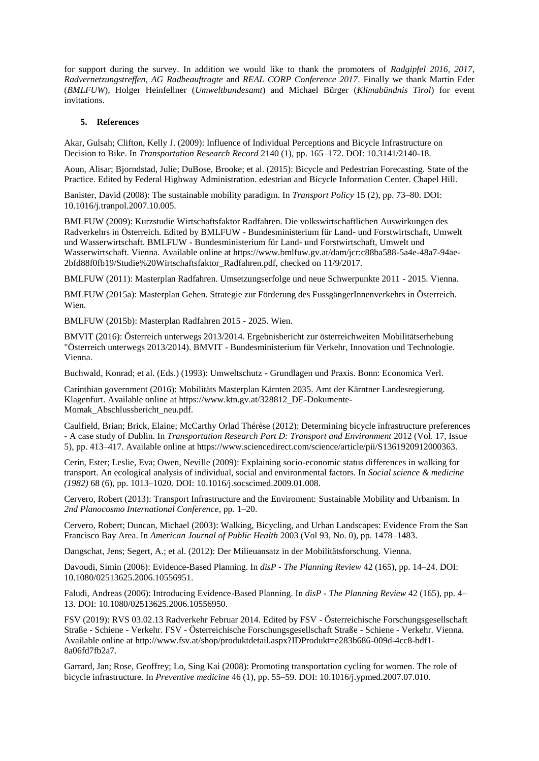for support during the survey. In addition we would like to thank the promoters of *Radgipfel 2016, 2017*, *Radvernetzungstreffen*, *AG Radbeauftragte* and *REAL CORP Conference 2017*. Finally we thank Martin Eder (*BMLFUW*), Holger Heinfellner (*Umweltbundesamt*) and Michael Bürger (*Klimabündnis Tirol*) for event invitations.

# **5. References**

Akar, Gulsah; Clifton, Kelly J. (2009): Influence of Individual Perceptions and Bicycle Infrastructure on Decision to Bike. In *Transportation Research Record* 2140 (1), pp. 165–172. DOI: 10.3141/2140-18.

Aoun, Alisar; Bjorndstad, Julie; DuBose, Brooke; et al. (2015): Bicycle and Pedestrian Forecasting. State of the Practice. Edited by Federal Highway Administration. edestrian and Bicycle Information Center. Chapel Hill.

Banister, David (2008): The sustainable mobility paradigm. In *Transport Policy* 15 (2), pp. 73–80. DOI: 10.1016/j.tranpol.2007.10.005.

BMLFUW (2009): Kurzstudie Wirtschaftsfaktor Radfahren. Die volkswirtschaftlichen Auswirkungen des Radverkehrs in Österreich. Edited by BMLFUW - Bundesministerium für Land- und Forstwirtschaft, Umwelt und Wasserwirtschaft. BMLFUW - Bundesministerium für Land- und Forstwirtschaft, Umwelt und Wasserwirtschaft. Vienna. Available online at https://www.bmlfuw.gv.at/dam/jcr:c88ba588-5a4e-48a7-94ae-2bfd88f0fb19/Studie%20Wirtschaftsfaktor\_Radfahren.pdf, checked on 11/9/2017.

BMLFUW (2011): Masterplan Radfahren. Umsetzungserfolge und neue Schwerpunkte 2011 - 2015. Vienna.

BMLFUW (2015a): Masterplan Gehen. Strategie zur Förderung des FussgängerInnenverkehrs in Österreich. Wien.

BMLFUW (2015b): Masterplan Radfahren 2015 - 2025. Wien.

BMVIT (2016): Österreich unterwegs 2013/2014. Ergebnisbericht zur österreichweiten Mobilitätserhebung "Österreich unterwegs 2013/2014). BMVIT - Bundesministerium für Verkehr, Innovation und Technologie. Vienna.

Buchwald, Konrad; et al. (Eds.) (1993): Umweltschutz - Grundlagen und Praxis. Bonn: Economica Verl.

Carinthian government (2016): Mobilitäts Masterplan Kärnten 2035. Amt der Kärntner Landesregierung. Klagenfurt. Available online at https://www.ktn.gv.at/328812\_DE-Dokumente-Momak\_Abschlussbericht\_neu.pdf.

Caulfield, Brian; Brick, Elaine; McCarthy Orlad Thérèse (2012): Determining bicycle infrastructure preferences - A case study of Dublin. In *Transportation Research Part D: Transport and Environment* 2012 (Vol. 17, Issue 5), pp. 413–417. Available online at https://www.sciencedirect.com/science/article/pii/S1361920912000363.

Cerin, Ester; Leslie, Eva; Owen, Neville (2009): Explaining socio-economic status differences in walking for transport. An ecological analysis of individual, social and environmental factors. In *Social science & medicine (1982)* 68 (6), pp. 1013–1020. DOI: 10.1016/j.socscimed.2009.01.008.

Cervero, Robert (2013): Transport Infrastructure and the Enviroment: Sustainable Mobility and Urbanism. In *2nd Planocosmo International Conference*, pp. 1–20.

Cervero, Robert; Duncan, Michael (2003): Walking, Bicycling, and Urban Landscapes: Evidence From the San Francisco Bay Area. In *American Journal of Public Health* 2003 (Vol 93, No. 0), pp. 1478–1483.

Dangschat, Jens; Segert, A.; et al. (2012): Der Milieuansatz in der Mobilitätsforschung. Vienna.

Davoudi, Simin (2006): Evidence-Based Planning. In *disP - The Planning Review* 42 (165), pp. 14–24. DOI: 10.1080/02513625.2006.10556951.

Faludi, Andreas (2006): Introducing Evidence-Based Planning. In *disP - The Planning Review* 42 (165), pp. 4– 13. DOI: 10.1080/02513625.2006.10556950.

FSV (2019): RVS 03.02.13 Radverkehr Februar 2014. Edited by FSV - Österreichische Forschungsgesellschaft Straße - Schiene - Verkehr. FSV - Österreichische Forschungsgesellschaft Straße - Schiene - Verkehr. Vienna. Available online at http://www.fsv.at/shop/produktdetail.aspx?IDProdukt=e283b686-009d-4cc8-bdf1- 8a06fd7fb2a7.

Garrard, Jan; Rose, Geoffrey; Lo, Sing Kai (2008): Promoting transportation cycling for women. The role of bicycle infrastructure. In *Preventive medicine* 46 (1), pp. 55–59. DOI: 10.1016/j.ypmed.2007.07.010.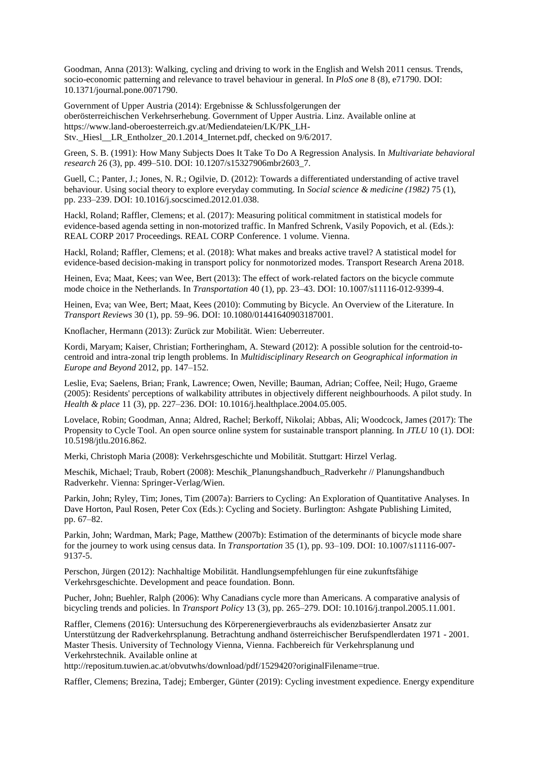Goodman, Anna (2013): Walking, cycling and driving to work in the English and Welsh 2011 census. Trends, socio-economic patterning and relevance to travel behaviour in general. In *PloS one* 8 (8), e71790. DOI: 10.1371/journal.pone.0071790.

Government of Upper Austria (2014): Ergebnisse & Schlussfolgerungen der oberösterreichischen Verkehrserhebung. Government of Upper Austria. Linz. Available online at https://www.land-oberoesterreich.gv.at/Mediendateien/LK/PK\_LH-Stv.\_Hiesl\_\_LR\_Entholzer\_20.1.2014\_Internet.pdf, checked on 9/6/2017.

Green, S. B. (1991): How Many Subjects Does It Take To Do A Regression Analysis. In *Multivariate behavioral research* 26 (3), pp. 499–510. DOI: 10.1207/s15327906mbr2603\_7.

Guell, C.; Panter, J.; Jones, N. R.; Ogilvie, D. (2012): Towards a differentiated understanding of active travel behaviour. Using social theory to explore everyday commuting. In *Social science & medicine (1982)* 75 (1), pp. 233–239. DOI: 10.1016/j.socscimed.2012.01.038.

Hackl, Roland; Raffler, Clemens; et al. (2017): Measuring political commitment in statistical models for evidence-based agenda setting in non-motorized traffic. In Manfred Schrenk, Vasily Popovich, et al. (Eds.): REAL CORP 2017 Proceedings. REAL CORP Conference. 1 volume. Vienna.

Hackl, Roland; Raffler, Clemens; et al. (2018): What makes and breaks active travel? A statistical model for evidence-based decision-making in transport policy for nonmotorized modes. Transport Research Arena 2018.

Heinen, Eva; Maat, Kees; van Wee, Bert (2013): The effect of work-related factors on the bicycle commute mode choice in the Netherlands. In *Transportation* 40 (1), pp. 23–43. DOI: 10.1007/s11116-012-9399-4.

Heinen, Eva; van Wee, Bert; Maat, Kees (2010): Commuting by Bicycle. An Overview of the Literature. In *Transport Reviews* 30 (1), pp. 59–96. DOI: 10.1080/01441640903187001.

Knoflacher, Hermann (2013): Zurück zur Mobilität. Wien: Ueberreuter.

Kordi, Maryam; Kaiser, Christian; Fortheringham, A. Steward (2012): A possible solution for the centroid-tocentroid and intra-zonal trip length problems. In *Multidisciplinary Research on Geographical information in Europe and Beyond* 2012, pp. 147–152.

Leslie, Eva; Saelens, Brian; Frank, Lawrence; Owen, Neville; Bauman, Adrian; Coffee, Neil; Hugo, Graeme (2005): Residents' perceptions of walkability attributes in objectively different neighbourhoods. A pilot study. In *Health & place* 11 (3), pp. 227–236. DOI: 10.1016/j.healthplace.2004.05.005.

Lovelace, Robin; Goodman, Anna; Aldred, Rachel; Berkoff, Nikolai; Abbas, Ali; Woodcock, James (2017): The Propensity to Cycle Tool. An open source online system for sustainable transport planning. In *JTLU* 10 (1). DOI: 10.5198/jtlu.2016.862.

Merki, Christoph Maria (2008): Verkehrsgeschichte und Mobilität. Stuttgart: Hirzel Verlag.

Meschik, Michael; Traub, Robert (2008): Meschik\_Planungshandbuch\_Radverkehr // Planungshandbuch Radverkehr. Vienna: Springer-Verlag/Wien.

Parkin, John; Ryley, Tim; Jones, Tim (2007a): Barriers to Cycling: An Exploration of Quantitative Analyses. In Dave Horton, Paul Rosen, Peter Cox (Eds.): Cycling and Society. Burlington: Ashgate Publishing Limited, pp. 67–82.

Parkin, John; Wardman, Mark; Page, Matthew (2007b): Estimation of the determinants of bicycle mode share for the journey to work using census data. In *Transportation* 35 (1), pp. 93–109. DOI: 10.1007/s11116-007- 9137-5.

Perschon, Jürgen (2012): Nachhaltige Mobilität. Handlungsempfehlungen für eine zukunftsfähige Verkehrsgeschichte. Development and peace foundation. Bonn.

Pucher, John; Buehler, Ralph (2006): Why Canadians cycle more than Americans. A comparative analysis of bicycling trends and policies. In *Transport Policy* 13 (3), pp. 265–279. DOI: 10.1016/j.tranpol.2005.11.001.

Raffler, Clemens (2016): Untersuchung des Körperenergieverbrauchs als evidenzbasierter Ansatz zur Unterstützung der Radverkehrsplanung. Betrachtung andhand österreichischer Berufspendlerdaten 1971 - 2001. Master Thesis. University of Technology Vienna, Vienna. Fachbereich für Verkehrsplanung und Verkehrstechnik. Available online at

http://repositum.tuwien.ac.at/obvutwhs/download/pdf/1529420?originalFilename=true.

Raffler, Clemens; Brezina, Tadej; Emberger, Günter (2019): Cycling investment expedience. Energy expenditure